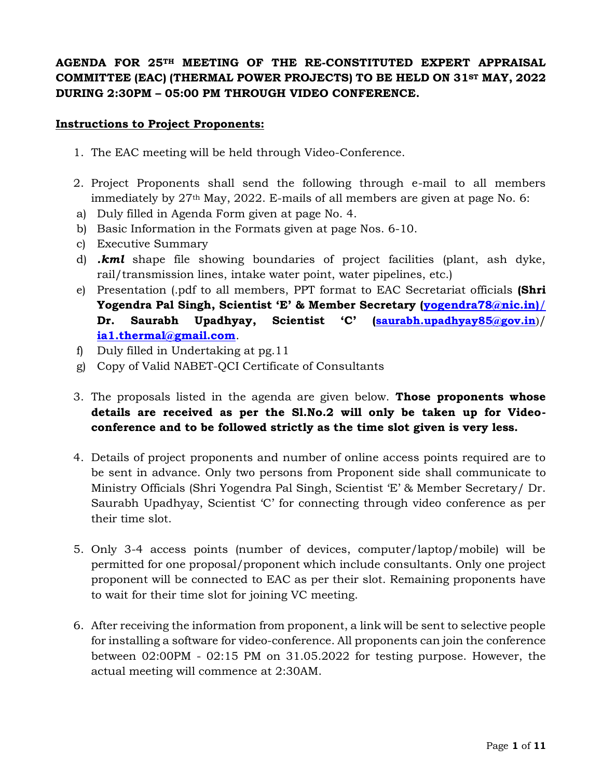## **AGENDA FOR 25TH MEETING OF THE RE-CONSTITUTED EXPERT APPRAISAL COMMITTEE (EAC) (THERMAL POWER PROJECTS) TO BE HELD ON 31ST MAY, 2022 DURING 2:30PM – 05:00 PM THROUGH VIDEO CONFERENCE.**

#### **Instructions to Project Proponents:**

- 1. The EAC meeting will be held through Video-Conference.
- 2. Project Proponents shall send the following through e-mail to all members immediately by 27th May, 2022. E-mails of all members are given at page No. 6:
- a) Duly filled in Agenda Form given at page No. 4.
- b) Basic Information in the Formats given at page Nos. 6-10.
- c) Executive Summary
- d) *.kml* shape file showing boundaries of project facilities (plant, ash dyke, rail/transmission lines, intake water point, water pipelines, etc.)
- e) Presentation (.pdf to all members, PPT format to EAC Secretariat officials **(Shri Yogendra Pal Singh, Scientist 'E' & Member Secretary [\(yogendra78@nic.in\)](mailto:yogendra78@nic.in)/)**/ **Dr. Saurabh Upadhyay, Scientist 'C' (saurabh.upadhyay85@gov.in**)/ **[ia1.thermal@gmail.com](mailto:ia1.thermal@gmail.com)**.
- f) Duly filled in Undertaking at pg.11
- g) Copy of Valid NABET-QCI Certificate of Consultants
- 3. The proposals listed in the agenda are given below. **Those proponents whose details are received as per the Sl.No.2 will only be taken up for Videoconference and to be followed strictly as the time slot given is very less.**
- 4. Details of project proponents and number of online access points required are to be sent in advance. Only two persons from Proponent side shall communicate to Ministry Officials (Shri Yogendra Pal Singh, Scientist 'E' & Member Secretary/ Dr. Saurabh Upadhyay, Scientist 'C' for connecting through video conference as per their time slot.
- 5. Only 3-4 access points (number of devices, computer/laptop/mobile) will be permitted for one proposal/proponent which include consultants. Only one project proponent will be connected to EAC as per their slot. Remaining proponents have to wait for their time slot for joining VC meeting.
- 6. After receiving the information from proponent, a link will be sent to selective people for installing a software for video-conference. All proponents can join the conference between 02:00PM - 02:15 PM on 31.05.2022 for testing purpose. However, the actual meeting will commence at 2:30AM.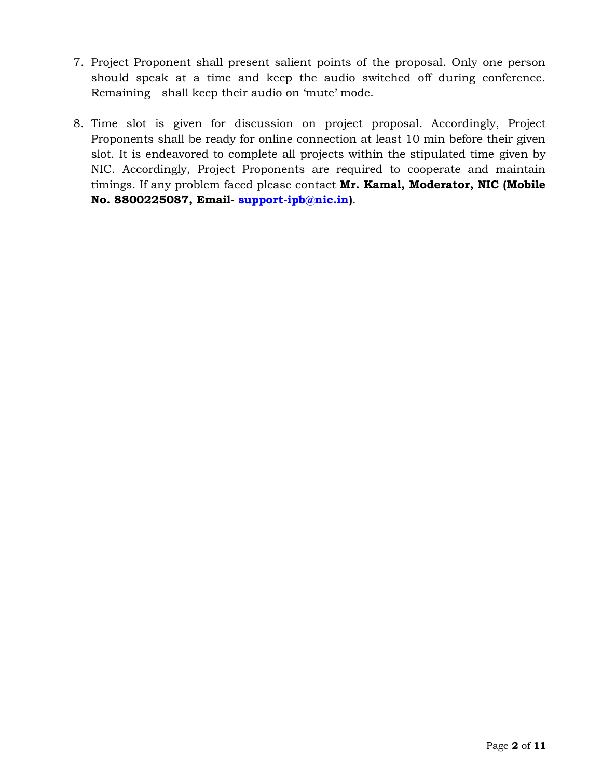- 7. Project Proponent shall present salient points of the proposal. Only one person should speak at a time and keep the audio switched off during conference. Remaining shall keep their audio on 'mute' mode.
- 8. Time slot is given for discussion on project proposal. Accordingly, Project Proponents shall be ready for online connection at least 10 min before their given slot. It is endeavored to complete all projects within the stipulated time given by NIC. Accordingly, Project Proponents are required to cooperate and maintain timings. If any problem faced please contact **Mr. Kamal, Moderator, NIC (Mobile No. 8800225087, Email- [support-ipb@nic.in\)](mailto:support-ipb@nic.in)**.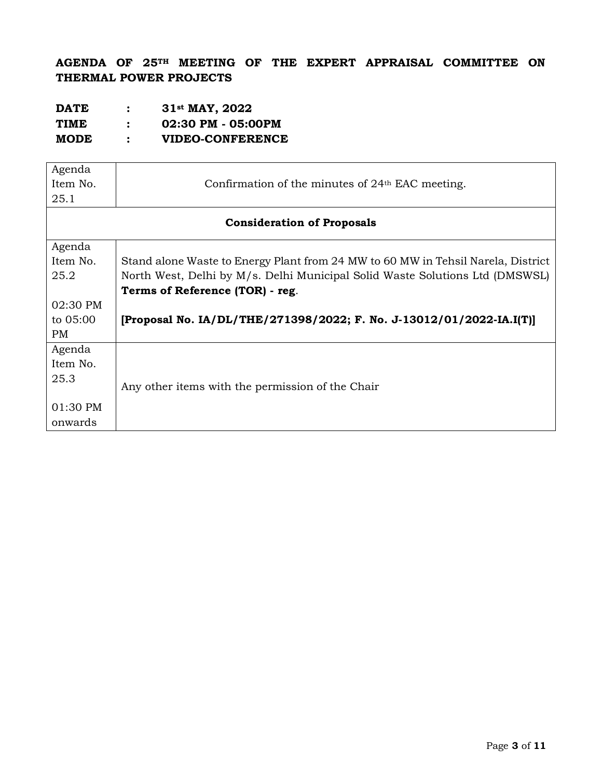**AGENDA OF 25TH MEETING OF THE EXPERT APPRAISAL COMMITTEE ON THERMAL POWER PROJECTS**

| <b>DATE</b> | 31 <sup>st</sup> MAY, 2022 |
|-------------|----------------------------|
| <b>TIME</b> | 02:30 PM - 05:00PM         |
| <b>MODE</b> | VIDEO-CONFERENCE           |

| Agenda   |                                                                                  |  |  |  |
|----------|----------------------------------------------------------------------------------|--|--|--|
| Item No. | Confirmation of the minutes of 24 <sup>th</sup> EAC meeting.                     |  |  |  |
| 25.1     |                                                                                  |  |  |  |
|          | <b>Consideration of Proposals</b>                                                |  |  |  |
| Agenda   |                                                                                  |  |  |  |
| Item No. | Stand alone Waste to Energy Plant from 24 MW to 60 MW in Tehsil Narela, District |  |  |  |
| 25.2     | North West, Delhi by M/s. Delhi Municipal Solid Waste Solutions Ltd (DMSWSL)     |  |  |  |
|          | Terms of Reference (TOR) - reg.                                                  |  |  |  |
| 02:30 PM |                                                                                  |  |  |  |
| to 05:00 | [Proposal No. IA/DL/THE/271398/2022; F. No. J-13012/01/2022-IA.I(T)]             |  |  |  |
| PM       |                                                                                  |  |  |  |
| Agenda   |                                                                                  |  |  |  |
| Item No. |                                                                                  |  |  |  |
| 25.3     |                                                                                  |  |  |  |
|          | Any other items with the permission of the Chair                                 |  |  |  |
| 01:30 PM |                                                                                  |  |  |  |
| onwards  |                                                                                  |  |  |  |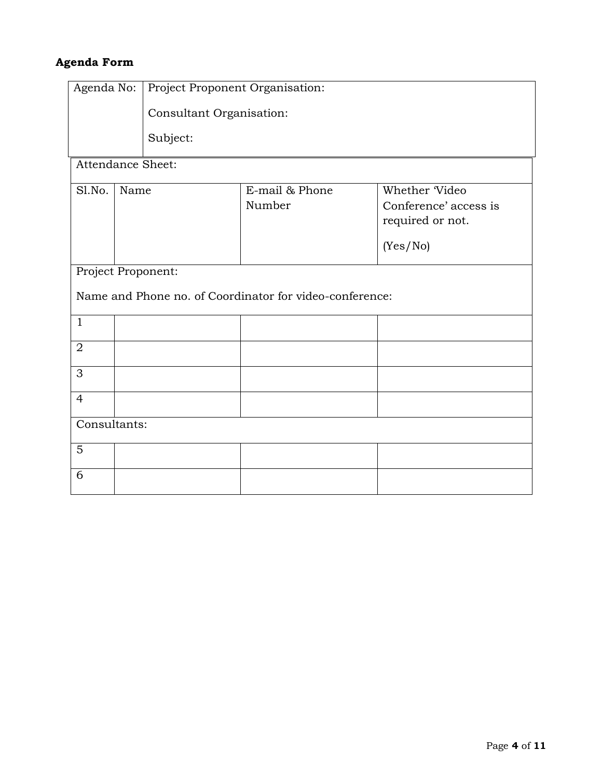# **Agenda Form**

| Agenda No:        |                                                                               | Project Proponent Organisation: |                          |                                                                        |
|-------------------|-------------------------------------------------------------------------------|---------------------------------|--------------------------|------------------------------------------------------------------------|
|                   |                                                                               | Consultant Organisation:        |                          |                                                                        |
|                   |                                                                               | Subject:                        |                          |                                                                        |
| Attendance Sheet: |                                                                               |                                 |                          |                                                                        |
| Sl.No.            | Name                                                                          |                                 | E-mail & Phone<br>Number | Whether Video<br>Conference' access is<br>required or not.<br>(Yes/No) |
|                   | Project Proponent:<br>Name and Phone no. of Coordinator for video-conference: |                                 |                          |                                                                        |
| $\mathbf{1}$      |                                                                               |                                 |                          |                                                                        |
| $\sqrt{2}$        |                                                                               |                                 |                          |                                                                        |
| 3                 |                                                                               |                                 |                          |                                                                        |
| $\overline{4}$    |                                                                               |                                 |                          |                                                                        |
| Consultants:      |                                                                               |                                 |                          |                                                                        |
| 5                 |                                                                               |                                 |                          |                                                                        |
| 6                 |                                                                               |                                 |                          |                                                                        |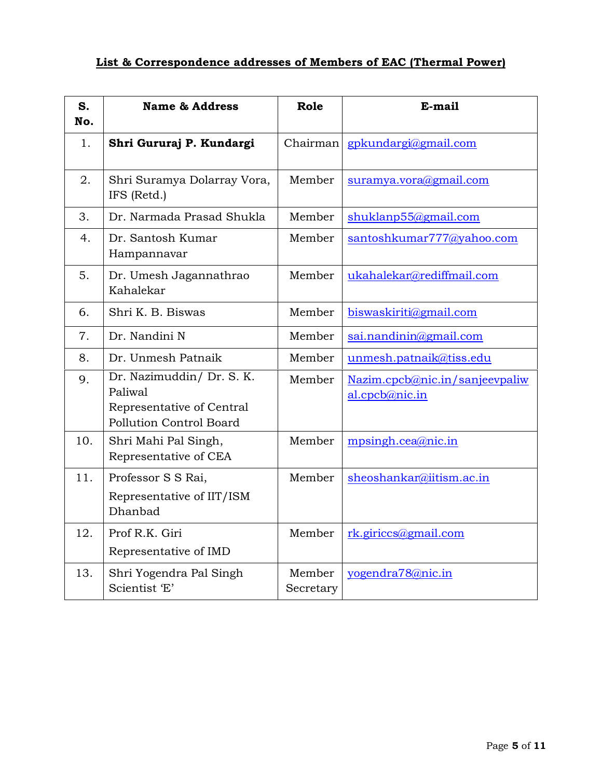# **List & Correspondence addresses of Members of EAC (Thermal Power)**

| S.<br>No. | <b>Name &amp; Address</b>                                                                    | Role                | E-mail                                           |
|-----------|----------------------------------------------------------------------------------------------|---------------------|--------------------------------------------------|
| 1.        | Shri Gururaj P. Kundargi                                                                     | Chairman            | gpkundargi@gmail.com                             |
| 2.        | Shri Suramya Dolarray Vora,<br>IFS (Retd.)                                                   | Member              | suramya.vora@gmail.com                           |
| 3.        | Dr. Narmada Prasad Shukla                                                                    | Member              | shuklanp55@gmail.com                             |
| 4.        | Dr. Santosh Kumar<br>Hampannavar                                                             | Member              | santoshkumar777@yahoo.com                        |
| 5.        | Dr. Umesh Jagannathrao<br>Kahalekar                                                          | Member              | ukahalekar@rediffmail.com                        |
| 6.        | Shri K. B. Biswas                                                                            | Member              | biswaskiriti@gmail.com                           |
| 7.        | Dr. Nandini N                                                                                | Member              | sai.nandinin@gmail.com                           |
| 8.        | Dr. Unmesh Patnaik                                                                           | Member              | unmesh.patnaik@tiss.edu                          |
| 9.        | Dr. Nazimuddin/ Dr. S. K.<br>Paliwal<br>Representative of Central<br>Pollution Control Board | Member              | Nazim.cpcb@nic.in/sanjeevpaliw<br>al.cpcb@nic.in |
| 10.       | Shri Mahi Pal Singh,<br>Representative of CEA                                                | Member              | mpsingh.cea@nic.in                               |
| 11.       | Professor S S Rai,<br>Representative of IIT/ISM<br>Dhanbad                                   | Member              | sheoshankar@iitism.ac.in                         |
| 12.       | Prof R.K. Giri<br>Representative of IMD                                                      | Member              | rk.giriccs@gmail.com                             |
| 13.       | Shri Yogendra Pal Singh<br>Scientist 'E'                                                     | Member<br>Secretary | yogendra78@nic.in                                |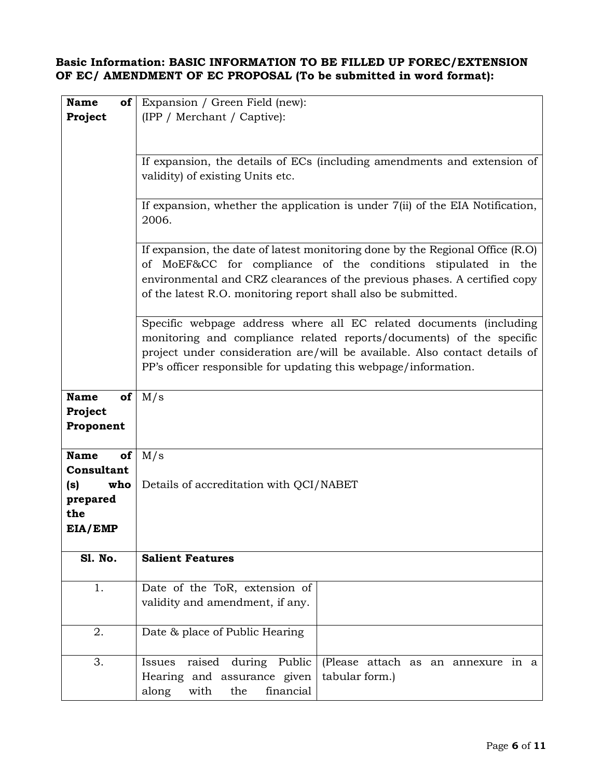### **Basic Information: BASIC INFORMATION TO BE FILLED UP FOREC/EXTENSION OF EC/ AMENDMENT OF EC PROPOSAL (To be submitted in word format):**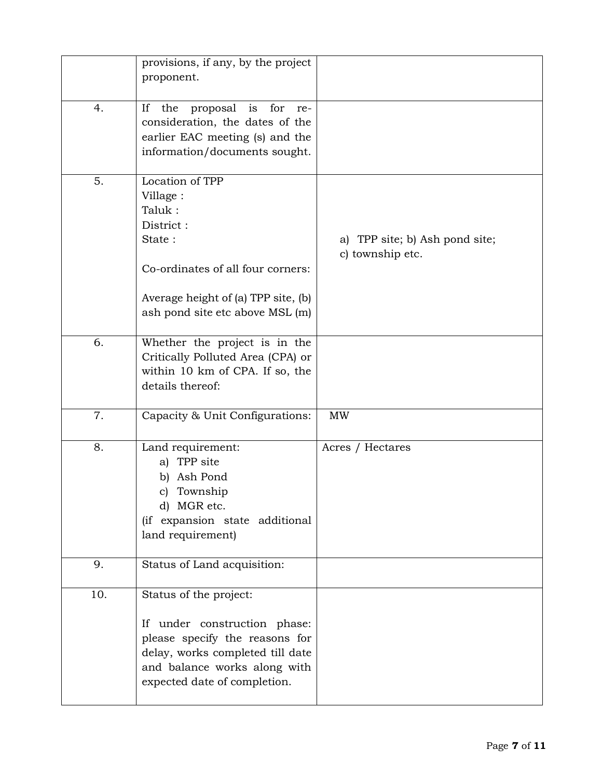|     | provisions, if any, by the project<br>proponent.                                                                                                                                             |                                                    |
|-----|----------------------------------------------------------------------------------------------------------------------------------------------------------------------------------------------|----------------------------------------------------|
| 4.  | proposal<br>for<br>If<br>the<br>is<br>re-<br>consideration, the dates of the<br>earlier EAC meeting (s) and the<br>information/documents sought.                                             |                                                    |
| 5.  | Location of TPP<br>Village:<br>Taluk:<br>District:<br>State:<br>Co-ordinates of all four corners:<br>Average height of (a) TPP site, (b)<br>ash pond site etc above MSL (m)                  | a) TPP site; b) Ash pond site;<br>c) township etc. |
| 6.  | Whether the project is in the<br>Critically Polluted Area (CPA) or<br>within 10 km of CPA. If so, the<br>details thereof:                                                                    |                                                    |
| 7.  | Capacity & Unit Configurations:                                                                                                                                                              | <b>MW</b>                                          |
| 8.  | Land requirement:<br>a) TPP site<br>Ash Pond<br>b)<br>c) Township<br>d) MGR etc.<br>(if expansion state additional<br>land requirement)                                                      | Acres / Hectares                                   |
| 9.  | Status of Land acquisition:                                                                                                                                                                  |                                                    |
| 10. | Status of the project:<br>If under construction phase:<br>please specify the reasons for<br>delay, works completed till date<br>and balance works along with<br>expected date of completion. |                                                    |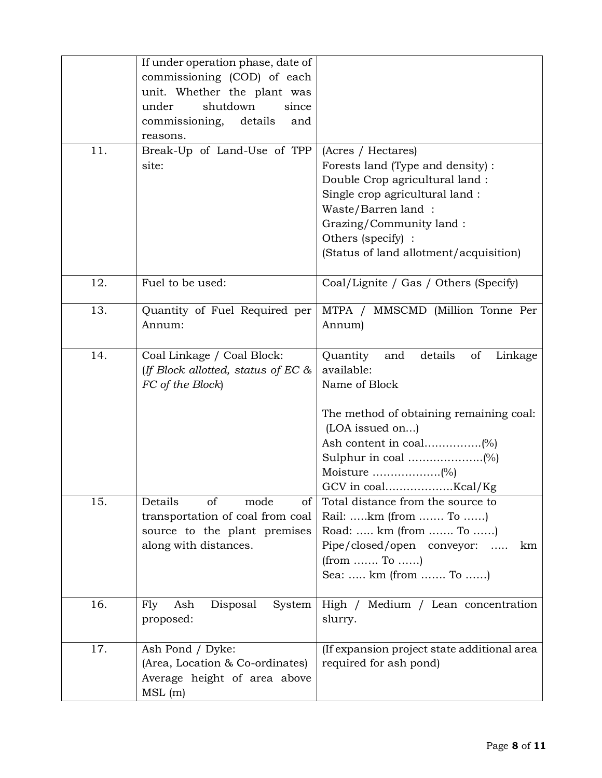|     | If under operation phase, date of     |                                              |
|-----|---------------------------------------|----------------------------------------------|
|     | commissioning (COD) of each           |                                              |
|     | unit. Whether the plant was           |                                              |
|     | under<br>shutdown<br>since            |                                              |
|     | commissioning,<br>details<br>and      |                                              |
|     | reasons.                              |                                              |
| 11. | Break-Up of Land-Use of TPP           | (Acres / Hectares)                           |
|     | site:                                 | Forests land (Type and density) :            |
|     |                                       | Double Crop agricultural land:               |
|     |                                       | Single crop agricultural land:               |
|     |                                       | Waste/Barren land:                           |
|     |                                       | Grazing/Community land:                      |
|     |                                       | Others (specify) :                           |
|     |                                       | (Status of land allotment/acquisition)       |
|     |                                       |                                              |
| 12. | Fuel to be used:                      | Coal/Lignite / Gas / Others (Specify)        |
| 13. | Quantity of Fuel Required per         | MTPA / MMSCMD (Million Tonne Per             |
|     | Annum:                                | Annum)                                       |
|     |                                       |                                              |
| 14. | Coal Linkage / Coal Block:            | details<br>of<br>Quantity<br>and<br>Linkage  |
|     | (If Block allotted, status of EC $\&$ | available:                                   |
|     | FC of the Block)                      | Name of Block                                |
|     |                                       |                                              |
|     |                                       | The method of obtaining remaining coal:      |
|     |                                       | (LOA issued on)                              |
|     |                                       |                                              |
|     |                                       |                                              |
|     |                                       |                                              |
|     |                                       |                                              |
| 15. | Details<br>of<br>mode<br>of           | Total distance from the source to            |
|     | transportation of coal from coal      | Rail: km (from  To )                         |
|     | source to the plant premises          | Road:  km (from  To )                        |
|     | along with distances.                 | Pipe/closed/open conveyor:<br>$\cdots$<br>km |
|     |                                       | $(from \dots To \dots)$                      |
|     |                                       | Sea:  km (from  To )                         |
| 16. | Disposal<br>Fly<br>Ash<br>System      | High / Medium / Lean concentration           |
|     | proposed:                             | slurry.                                      |
|     |                                       |                                              |
| 17. | Ash Pond / Dyke:                      | (If expansion project state additional area  |
|     | (Area, Location & Co-ordinates)       | required for ash pond)                       |
|     | Average height of area above          |                                              |
|     | MSL(m)                                |                                              |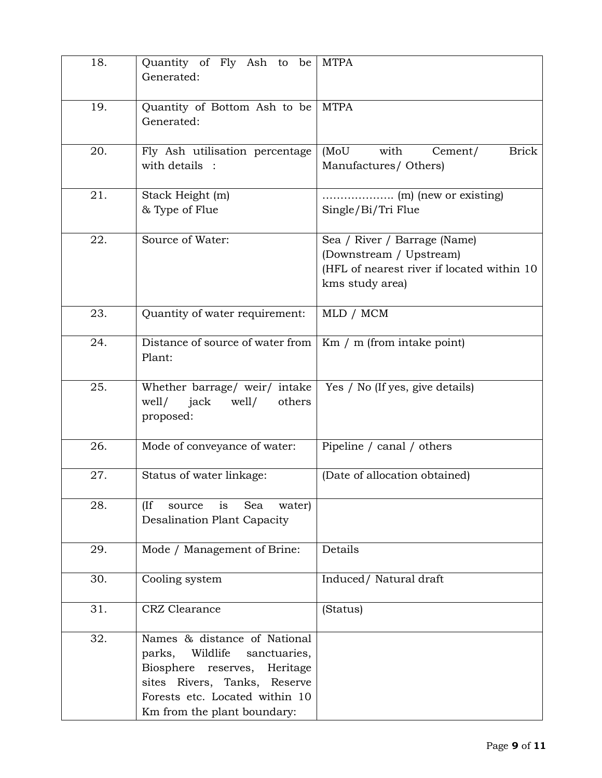| 18. | Quantity of Fly Ash to be<br>Generated:                                                                                                                                                                | <b>MTPA</b>                                                                                                              |
|-----|--------------------------------------------------------------------------------------------------------------------------------------------------------------------------------------------------------|--------------------------------------------------------------------------------------------------------------------------|
| 19. | Quantity of Bottom Ash to be<br>Generated:                                                                                                                                                             | <b>MTPA</b>                                                                                                              |
| 20. | Fly Ash utilisation percentage<br>with details :                                                                                                                                                       | (MoU<br>with<br><b>Brick</b><br>Cement/<br>Manufactures/ Others)                                                         |
| 21. | Stack Height (m)<br>& Type of Flue                                                                                                                                                                     | Single/Bi/Tri Flue                                                                                                       |
| 22. | Source of Water:                                                                                                                                                                                       | Sea / River / Barrage (Name)<br>(Downstream / Upstream)<br>(HFL of nearest river if located within 10<br>kms study area) |
| 23. | Quantity of water requirement:                                                                                                                                                                         | MLD / MCM                                                                                                                |
| 24. | Distance of source of water from<br>Plant:                                                                                                                                                             | Km / m (from intake point)                                                                                               |
| 25. | Whether barrage/ weir/ intake<br>well/<br>jack<br>well/<br>others<br>proposed:                                                                                                                         | Yes / No (If yes, give details)                                                                                          |
| 26. | Mode of conveyance of water:                                                                                                                                                                           | Pipeline / canal / others                                                                                                |
| 27. | Status of water linkage:                                                                                                                                                                               | (Date of allocation obtained)                                                                                            |
| 28. | (If)<br>Sea<br>water)<br>source<br>is<br><b>Desalination Plant Capacity</b>                                                                                                                            |                                                                                                                          |
| 29. | Mode / Management of Brine:                                                                                                                                                                            | Details                                                                                                                  |
| 30. | Cooling system                                                                                                                                                                                         | Induced/ Natural draft                                                                                                   |
| 31. | CRZ Clearance                                                                                                                                                                                          | (Status)                                                                                                                 |
| 32. | Names & distance of National<br>Wildlife<br>sanctuaries,<br>parks,<br>Biosphere reserves,<br>Heritage<br>sites Rivers, Tanks, Reserve<br>Forests etc. Located within 10<br>Km from the plant boundary: |                                                                                                                          |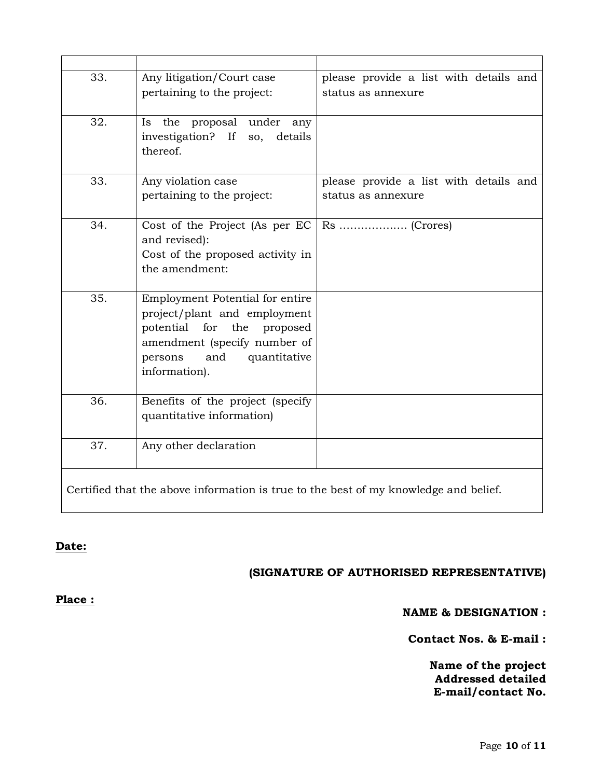| 33. | Any litigation/Court case<br>pertaining to the project:                                                                                                                          | please provide a list with details and<br>status as annexure                         |
|-----|----------------------------------------------------------------------------------------------------------------------------------------------------------------------------------|--------------------------------------------------------------------------------------|
| 32. | Is the proposal under any<br>investigation? If so,<br>details<br>thereof.                                                                                                        |                                                                                      |
| 33. | Any violation case<br>pertaining to the project:                                                                                                                                 | please provide a list with details and<br>status as annexure                         |
| 34. | Cost of the Project (As per EC)<br>and revised):<br>Cost of the proposed activity in<br>the amendment:                                                                           |                                                                                      |
| 35. | Employment Potential for entire<br>project/plant and employment<br>potential for the proposed<br>amendment (specify number of<br>and<br>quantitative<br>persons<br>information). |                                                                                      |
| 36. | Benefits of the project (specify<br>quantitative information)                                                                                                                    |                                                                                      |
| 37. | Any other declaration                                                                                                                                                            |                                                                                      |
|     |                                                                                                                                                                                  | Certified that the above information is true to the best of my knowledge and belief. |

### **Date:**

## **(SIGNATURE OF AUTHORISED REPRESENTATIVE)**

**Place :**

#### **NAME & DESIGNATION :**

**Contact Nos. & E-mail :**

**Name of the project Addressed detailed E-mail/contact No.**